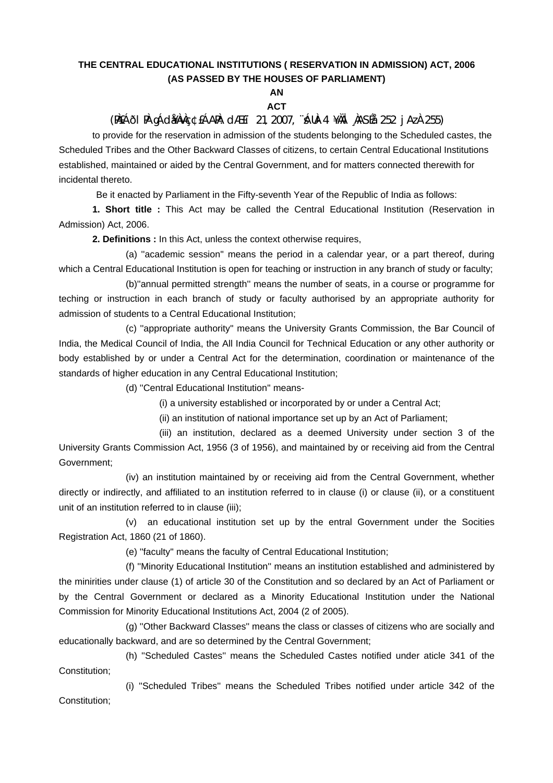## **THE CENTRAL EDUCATIONAL INSTITUTIONS ( RESERVATION IN ADMISSION) ACT, 2006 (AS PASSED BY THE HOUSES OF PARLIAMENT)**

## **AN ACT**

(PÀ£ÁðlPÀ gÁdå¥ÀvÀç ¢£ÁAPÀ: dÆ£ï 21, 2007, ¨sÁUÀ-4 ¥ÀÄl¸ÀASÉå: 252 jAzÀ 255)

to provide for the reservation in admission of the students belonging to the Scheduled castes, the Scheduled Tribes and the Other Backward Classes of citizens, to certain Central Educational Institutions established, maintained or aided by the Central Government, and for matters connected therewith for incidental thereto.

Be it enacted by Parliament in the Fifty-seventh Year of the Republic of India as follows:

**1. Short title :** This Act may be called the Central Educational Institution (Reservation in Admission) Act, 2006.

**2. Definitions :** In this Act, unless the context otherwise requires,

 (a) ''academic session'' means the period in a calendar year, or a part thereof, during which a Central Educational Institution is open for teaching or instruction in any branch of study or faculty;

 (b)''annual permitted strength'' means the number of seats, in a course or programme for teching or instruction in each branch of study or faculty authorised by an appropriate authority for admission of students to a Central Educational Institution;

 (c) ''appropriate authority'' means the University Grants Commission, the Bar Council of India, the Medical Council of India, the All India Council for Technical Education or any other authority or body established by or under a Central Act for the determination, coordination or maintenance of the standards of higher education in any Central Educational Institution;

(d) ''Central Educational Institution'' means-

(i) a university established or incorporated by or under a Central Act;

(ii) an institution of national importance set up by an Act of Parliament;

 (iii) an institution, declared as a deemed University under section 3 of the University Grants Commission Act, 1956 (3 of 1956), and maintained by or receiving aid from the Central Government;

 (iv) an institution maintained by or receiving aid from the Central Government, whether directly or indirectly, and affiliated to an institution referred to in clause (i) or clause (ii), or a constituent unit of an institution referred to in clause (iii);

 (v) an educational institution set up by the entral Government under the Socities Registration Act, 1860 (21 of 1860).

(e) ''faculty'' means the faculty of Central Educational Institution;

 (f) ''Minority Educational Institution'' means an institution established and administered by the minirities under clause (1) of article 30 of the Constitution and so declared by an Act of Parliament or by the Central Government or declared as a Minority Educational Institution under the National Commission for Minority Educational Institutions Act, 2004 (2 of 2005).

 (g) ''Other Backward Classes'' means the class or classes of citizens who are socially and educationally backward, and are so determined by the Central Government;

 (h) ''Scheduled Castes'' means the Scheduled Castes notified under aticle 341 of the Constitution;

 (i) ''Scheduled Tribes'' means the Scheduled Tribes notified under article 342 of the Constitution;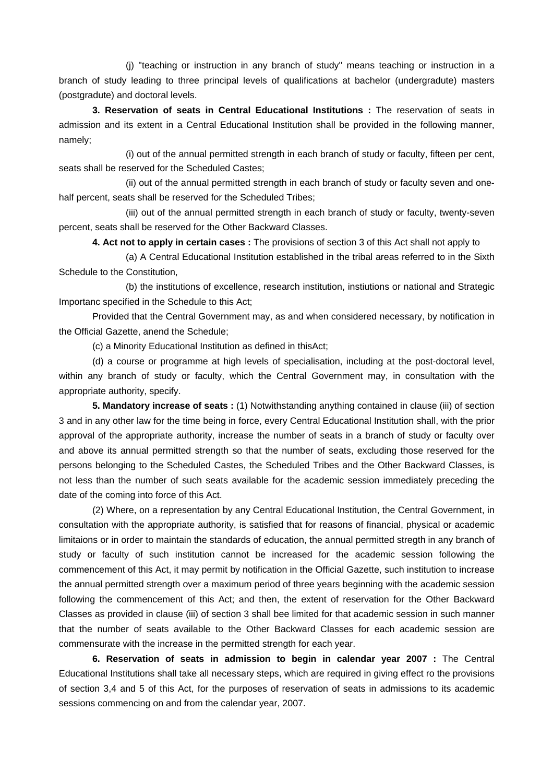(j) ''teaching or instruction in any branch of study'' means teaching or instruction in a branch of study leading to three principal levels of qualifications at bachelor (undergradute) masters (postgradute) and doctoral levels.

**3. Reservation of seats in Central Educational Institutions :** The reservation of seats in admission and its extent in a Central Educational Institution shall be provided in the following manner, namely;

 (i) out of the annual permitted strength in each branch of study or faculty, fifteen per cent, seats shall be reserved for the Scheduled Castes;

 (ii) out of the annual permitted strength in each branch of study or faculty seven and onehalf percent, seats shall be reserved for the Scheduled Tribes;

 (iii) out of the annual permitted strength in each branch of study or faculty, twenty-seven percent, seats shall be reserved for the Other Backward Classes.

**4. Act not to apply in certain cases :** The provisions of section 3 of this Act shall not apply to

 (a) A Central Educational Institution established in the tribal areas referred to in the Sixth Schedule to the Constitution,

 (b) the institutions of excellence, research institution, instiutions or national and Strategic Importanc specified in the Schedule to this Act;

 Provided that the Central Government may, as and when considered necessary, by notification in the Official Gazette, anend the Schedule;

(c) a Minority Educational Institution as defined in thisAct;

 (d) a course or programme at high levels of specialisation, including at the post-doctoral level, within any branch of study or faculty, which the Central Government may, in consultation with the appropriate authority, specify.

**5. Mandatory increase of seats :** (1) Notwithstanding anything contained in clause (iii) of section 3 and in any other law for the time being in force, every Central Educational Institution shall, with the prior approval of the appropriate authority, increase the number of seats in a branch of study or faculty over and above its annual permitted strength so that the number of seats, excluding those reserved for the persons belonging to the Scheduled Castes, the Scheduled Tribes and the Other Backward Classes, is not less than the number of such seats available for the academic session immediately preceding the date of the coming into force of this Act.

 (2) Where, on a representation by any Central Educational Institution, the Central Government, in consultation with the appropriate authority, is satisfied that for reasons of financial, physical or academic limitaions or in order to maintain the standards of education, the annual permitted stregth in any branch of study or faculty of such institution cannot be increased for the academic session following the commencement of this Act, it may permit by notification in the Official Gazette, such institution to increase the annual permitted strength over a maximum period of three years beginning with the academic session following the commencement of this Act; and then, the extent of reservation for the Other Backward Classes as provided in clause (iii) of section 3 shall bee limited for that academic session in such manner that the number of seats available to the Other Backward Classes for each academic session are commensurate with the increase in the permitted strength for each year.

**6. Reservation of seats in admission to begin in calendar year 2007 :** The Central Educational Institutions shall take all necessary steps, which are required in giving effect ro the provisions of section 3,4 and 5 of this Act, for the purposes of reservation of seats in admissions to its academic sessions commencing on and from the calendar year, 2007.